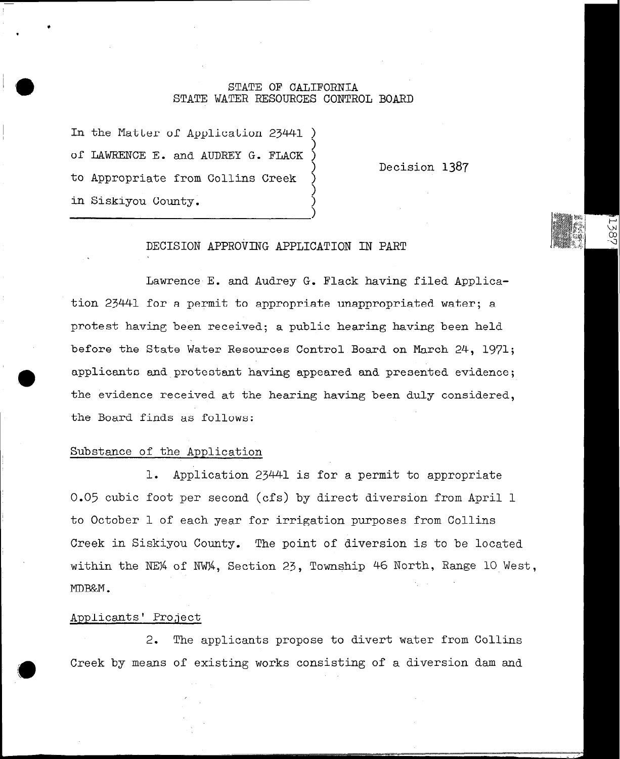## STATE OF CALIFORNIA STATE WATER RESOURCES CONTROL BOARD

 $\zeta$ 

 $\zeta$ 

1

In the Matter of Application 23441 of LAWRENCE E. and AUDREY G. FLACK to Appropriate from Collins Creek ) in Siskiyou County.

) Decision 1387

.<br>१९

# DECISION APPROVING APPLICATION IN PART

Lawrence E. and Audrey G. Flack having filed Application 23441 for a permit to appropriate unappropriated water; a protest having been received; a public hearing having been held before the State Water Resources Control Board on March 24, 1971; applicants and protestant having appeared and presented evidence; the evidence received at the hearing having been duly considered, the Board finds as follows:

## Substance of the Application

1. Application 23441 is for a permit to appropriate 0.05 cubic foot per second (cfs) by direct diversion from April 1 to October 1 of each year for irrigation purposes from Collins Creek in Siskiyou County. The point of diversion is to be located within the NE% of NW%, Section 23, Township 46 North, Range 10 West, MDB&M.

### Applicants' Project

/

2. The applicants propose to divert water from Collins Creek by means of existing works consisting of a diversion dam and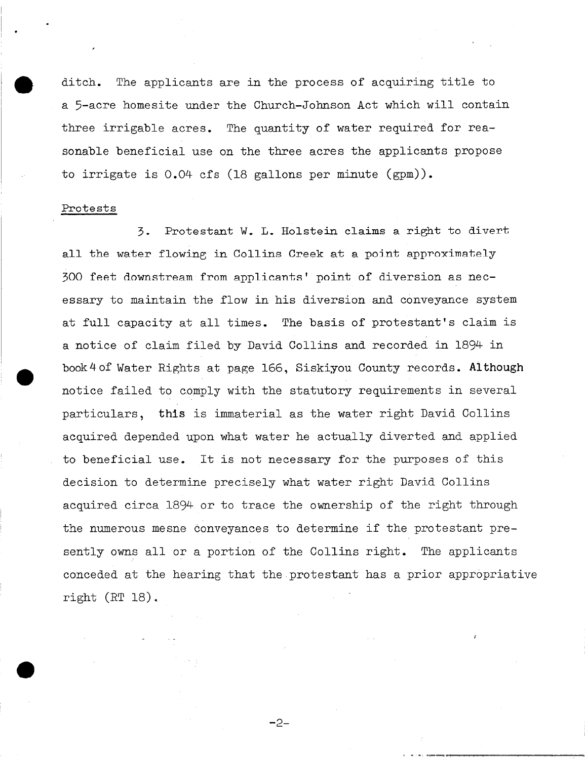ditch. The applicants are in the process of acquiring title to a 5-acre homesite under the Church-Johnson Act which will contain three irrigable acres. The quantity of water required for reasonable beneficial use on the three acres the applicants propose to irrigate is 0.04 cfs (18 gallons per minute (gpm)).

### Protests

,

.

 $\bullet$ 

**0** 

.

3. Protestant W. L. Holstein claims a right to divert all the water flowing in Collins Creek at a point approximately 300 feet downstream from applicants' point of diversion as necessary to maintain the flow in his diversion and conveyance system at full capacity at all times. The basis of protestant's claim is a notice of claim filed by David Collins and recorded in 1894 in book4of Water Rights at page 166, Siskiyou County records. Although notice failed to comply with the statutory requirements in several particulars, this is immaterial as the water right David Collins acquired depended upon what water he actually diverted and applied to beneficial use. It is not necessary for the purposes of this decision to determine precisely what water right David Collins acquired circa 1894 or to trace the ownership of the right through the numerous mesne conveyances to determine if the protestant presently owns all or a portion of the Collins right. The applicants conceded at the hearing that the.protestant has a prior appropriative right (RT 18).

-2-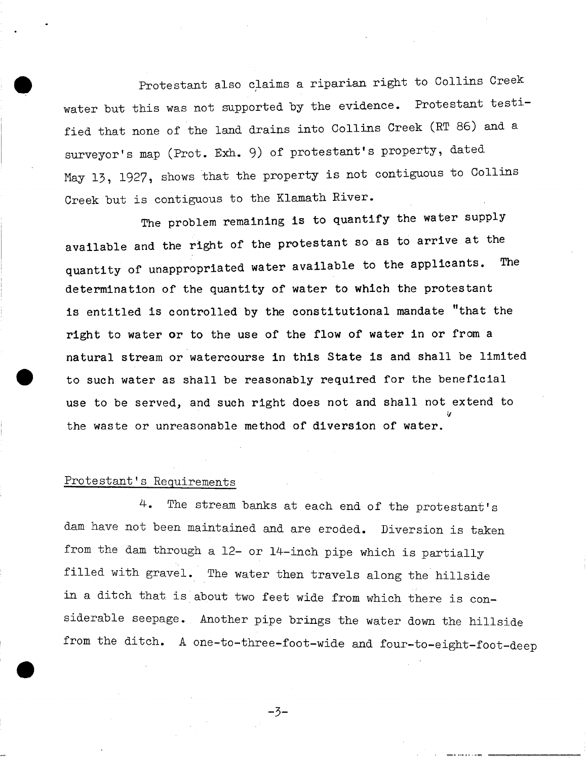Protestant also claims a riparian right to Collins Creek water but this was not supported by the evidence. Protestant testified that none of the land drains into Collins Creek (RT 86) and a surveyor's map (Prot. Exh. 9) of protestant's property, dated May 13, 1927, shows 'that the property is not contiguous to Collins Creek but is contiguous to the Klamath River.

The problem remaining is to quantify the water supply available and the right of the protestant so as to arrive at the quantity of unappropriated water available to the applicants. The determination of the quantity of water to which the protestant is entitled is controlled by the constitutional mandate "that the right to water or to the use of the flow of water in or from a natural stream or watercourse in this State is and shall be limited to such water as shall be reasonably required for the beneficial use to be served, and such right does not and shall not extend to 9 the waste or unreasonable method of diversion of water.

## Protestant's Requirements

4. The stream banks at each end of the protestant's dam have not been maintained and are eroded. Diversion is taken from the dam through a 12- or 14-inch pipe which is partially filled with gravel. The water then travels along the hillside in a ditch that is about two feet wide from which there is considerable seepage. Another pipe brings the water down the hillside from the ditch. A one-to-three-foot-wide and four-to-eight-foot-deep

-3-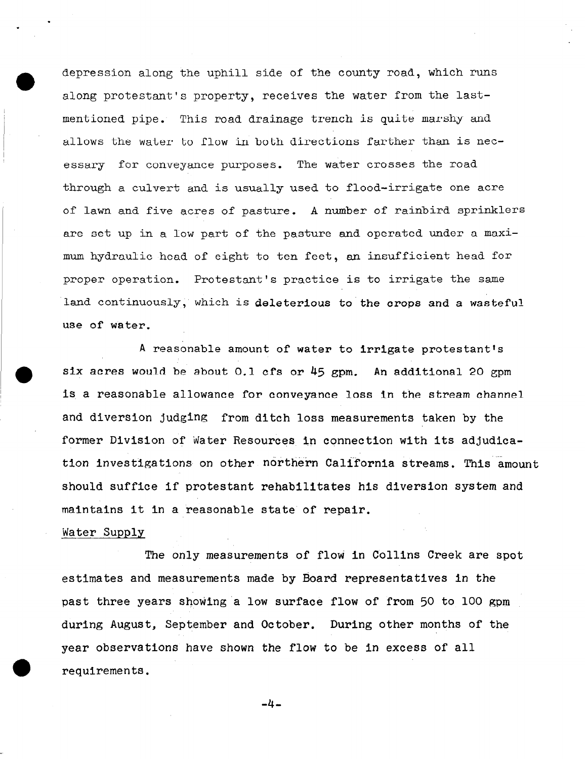depression along the uphill side of the county road, which runs along protestant's property, receives the water from the lastmentioned pipe. This road drainage trench is quite marshy and allows the water to flow in both directions farther than is necessary for conveyance purposes. The water crosses the road through a culvert and is usually used to flood-irrigate one acre of lawn and five acres of pasture. A number of rainbird sprinklers are set up in a low part of the pasture and operated under a maximum hydraulic head of eight to ten feet, an insufficient head for proper operation. Protestant's practice is to irrigate the same land continuously, which is deleterious to the crops and a wasteful use of water.

A reasonable amount of water to irrigate protestant's six acres would be about 0.1 cfs or  $45$  gpm. An additional 20 gpm is a reasonable allowance for conveyance loss in the stream channel and diversion judging from ditch loss measurements taken by the former Division of Water Resources in connection with its adjudication investigations on other northern California streams. This amount should suffice if protestant rehabilitates his diversion system and maintains it in a reasonable state of repair.

### Water Supply

.

The only measurements of flow in Collins Creek are spot past three years showing a low surface flow of from 50 to 100 gpm estimates and measurements made by Board representatives in the during August, September and October. During other months of the year observations have shown the flow to be in excess of all requirements.

-4.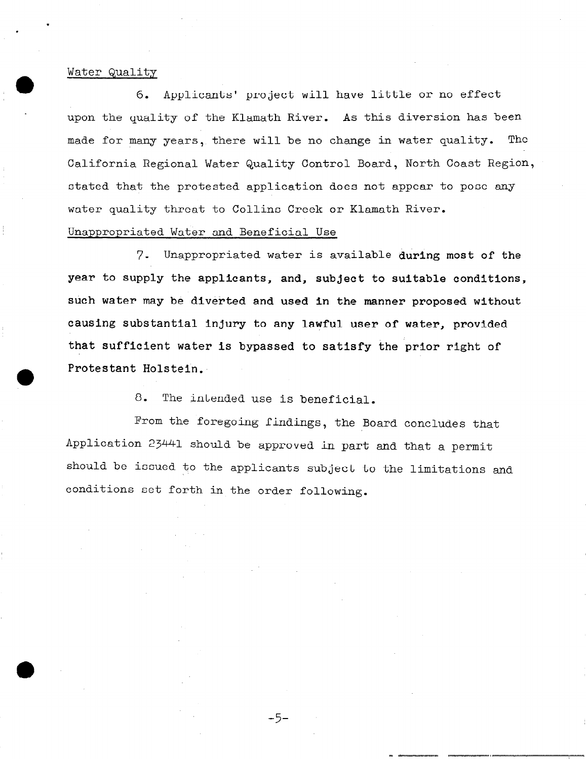### Water Quality

.

.

6. Applicants' project will have little or no effect upon the quality of the Klamath River. As this diversion has been made for many years, there will be no change in water quality. The California Regional Water Quality Control Board, North Coast Region, stated that the protested application does not appear to pose any water quality threat to Collins Creek or Klamath River.

# Unappropriated Water and Beneficial Use

7. Unappropriated water is available during most of the year to supply the applicants, and, subject to suitable conditions, such water may be diverted and used in the manner proposed without causing substantial injury to any lawful user of water, provided that sufficient water is bypassed to satisfy the prior right of Protestant Holstein.

8. The intended use is beneficial.

From the foregoing findings, the Board concludes that Application 23441 should be approved in part and that a permit should be issued to the applicants subject to the limitations and conditions set forth in the order following.

-5-

=<br>= <del>=-----------</del>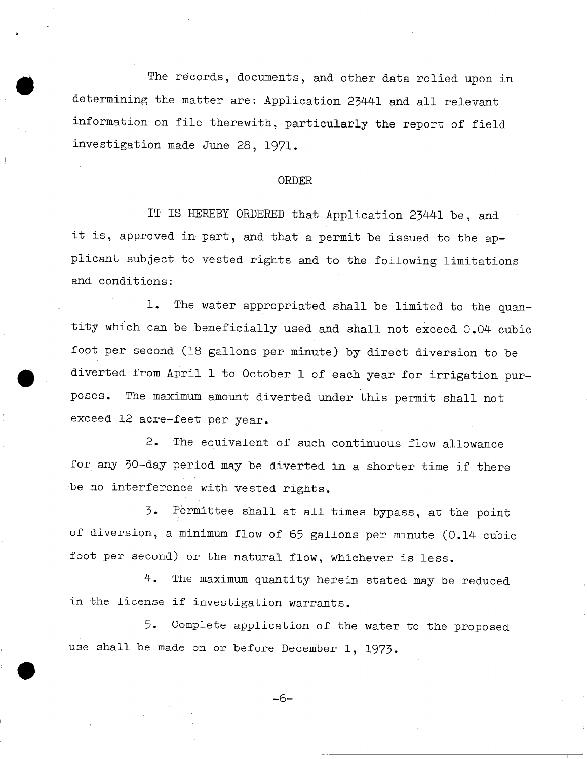The records, documents, and other data relied upon in determining the matter are: Application 23441 and all relevant information on file therewith, particularly the report of field investigation made June 28, 1971.

#### ORDER

IT IS HEREBY ORDERED that Application 23441 be, and it is, approved in part, and that a permit be issued to the applicant subject to vested rights and to the following limitations and conditions:

1. The water appropriated shall be limited to the quantity which can be beneficially used and shall not exceed 0.04 cubic foot per second (18 gallons per minute) by direct diversion to be diverted from April 1 to October 1 of each year for irrigation purposes. The maximum amount diverted under this permit shall not exceed 12 acre-feet per year.

2. The equivalent of such continuous flow allowance for any 30-day period may be diverted in a shorter time if there be no interference with vested rights.

3. Permittee shall at all times bypass, at the point of diversion, a minimum flow of 65 gallons per minute (0.14 cubic foot per second) or the natural flow, whichever is less.

4. The maximum quantity herein stated may be reduced in the license if investigation warrants.

5. Complete application of the water to the proposed use shall be made on or before December 1, 1973.

-6-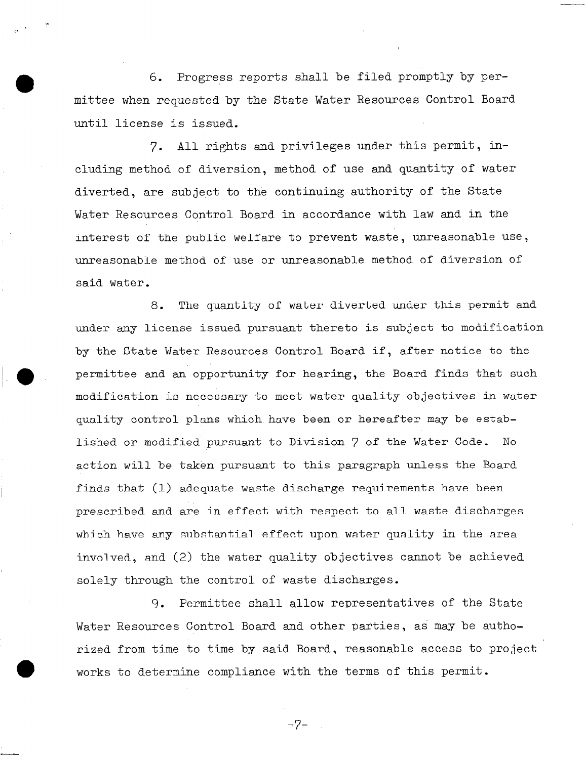**0** 6. Progress reports shall be filed promptly by permittee when requested by the State Water Resources Control Board until license is issued.

7. All rights and privileges under this permit, including method of diversion, method of use and quantity of water diverted, are subject to the continuing authority of the State Water Resources Control Board in accordance with law and in the interest of the public welfare to prevent waste, unreasonable use, unreasonable method of use or unreasonable method of diversion of said water.

8, The quantity of water diverted under this permit and under any license issued pursuant thereto is subject to modification by the State Water Resources Control Board if, after notice to the permittee and an opportunity for hearing, the Board finds that such modification is necessary to meet water quality objectives in water quality control plans which have been or hereafter may be established or modified pursuant to Division 7 of the Water Code. No action will be taken pursuant to this paragraph unless the Board finds that (1) adequate waste discharge requirements have been prescribed and are in effect with respect to all waste discharges which have any substantial effect upon water quality in the area involved, and (2) the water quality objectives cannot be achieved solely through the control of waste discharges.

9. Permittee shall allow representatives of the State Water Resources Control Board and other parties, as may be authorized from time to time by said Board, reasonable access to project works to determine compliance with the terms of this permit.

-7-